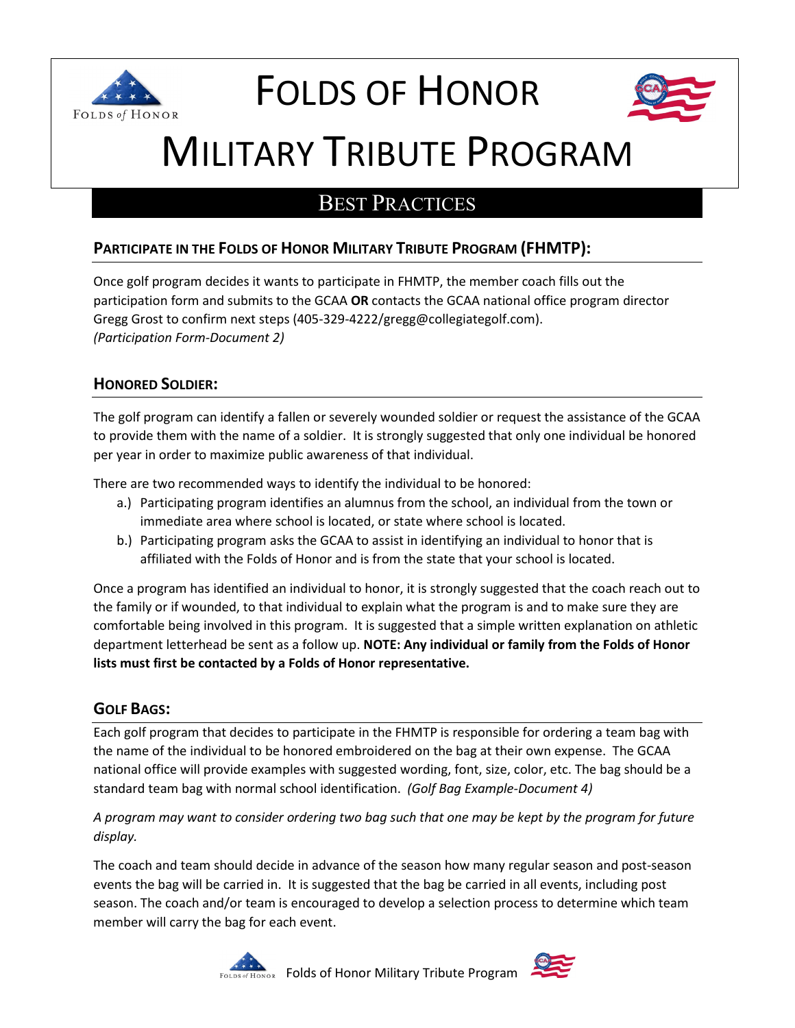

# FOLDS OF HONOR



# MILITARY TRIBUTE PROGRAM

# BEST PRACTICES

# **PARTICIPATE IN THE FOLDS OF HONOR MILITARY TRIBUTE PROGRAM (FHMTP):**

Once golf program decides it wants to participate in FHMTP, the member coach fills out the participation form and submits to the GCAA **OR** contacts the GCAA national office program director Gregg Grost to confirm next steps (405-329-4222/gregg@collegiategolf.com). *(Participation Form-Document 2)*

## **HONORED SOLDIER:**

The golf program can identify a fallen or severely wounded soldier or request the assistance of the GCAA to provide them with the name of a soldier. It is strongly suggested that only one individual be honored per year in order to maximize public awareness of that individual.

There are two recommended ways to identify the individual to be honored:

- a.) Participating program identifies an alumnus from the school, an individual from the town or immediate area where school is located, or state where school is located.
- b.) Participating program asks the GCAA to assist in identifying an individual to honor that is affiliated with the Folds of Honor and is from the state that your school is located.

Once a program has identified an individual to honor, it is strongly suggested that the coach reach out to the family or if wounded, to that individual to explain what the program is and to make sure they are comfortable being involved in this program. It is suggested that a simple written explanation on athletic department letterhead be sent as a follow up. **NOTE: Any individual or family from the Folds of Honor lists must first be contacted by a Folds of Honor representative.**

#### **GOLF BAGS:**

Each golf program that decides to participate in the FHMTP is responsible for ordering a team bag with the name of the individual to be honored embroidered on the bag at their own expense. The GCAA national office will provide examples with suggested wording, font, size, color, etc. The bag should be a standard team bag with normal school identification. *(Golf Bag Example-Document 4)*

#### *A program may want to consider ordering two bag such that one may be kept by the program for future display.*

The coach and team should decide in advance of the season how many regular season and post-season events the bag will be carried in. It is suggested that the bag be carried in all events, including post season. The coach and/or team is encouraged to develop a selection process to determine which team member will carry the bag for each event.



**Folds of Honor Military Tribute Program** 

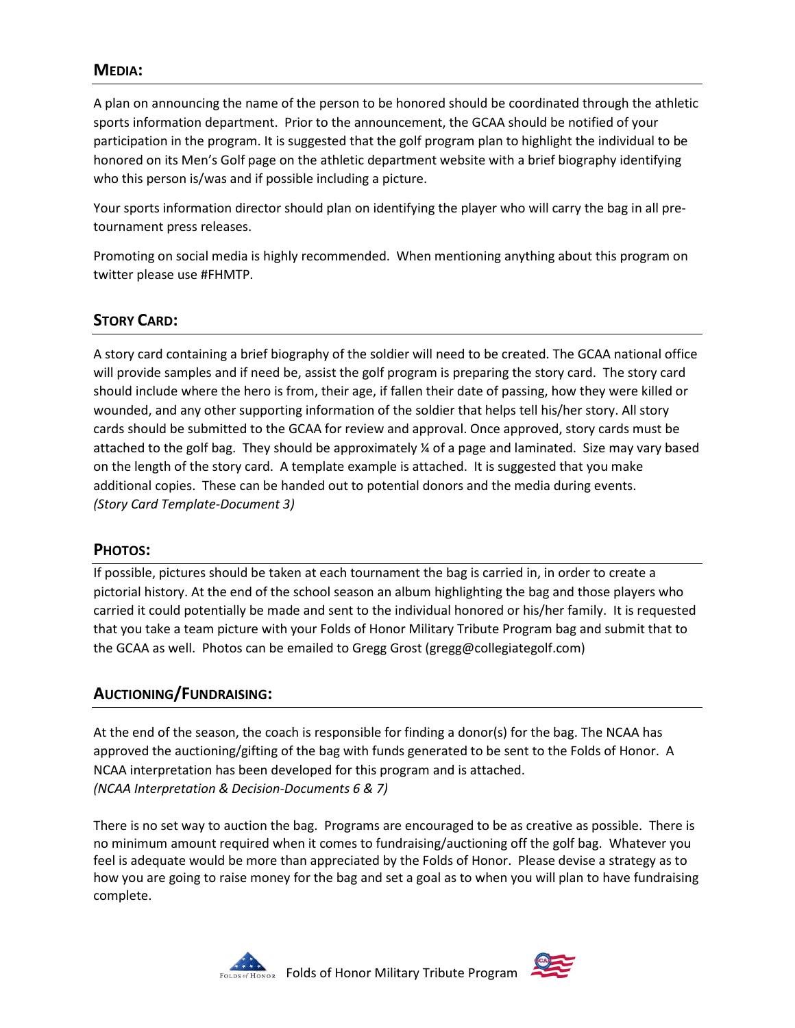#### **MEDIA:**

A plan on announcing the name of the person to be honored should be coordinated through the athletic sports information department. Prior to the announcement, the GCAA should be notified of your participation in the program. It is suggested that the golf program plan to highlight the individual to be honored on its Men's Golf page on the athletic department website with a brief biography identifying who this person is/was and if possible including a picture.

Your sports information director should plan on identifying the player who will carry the bag in all pretournament press releases.

Promoting on social media is highly recommended. When mentioning anything about this program on twitter please use #FHMTP.

#### **STORY CARD:**

A story card containing a brief biography of the soldier will need to be created. The GCAA national office will provide samples and if need be, assist the golf program is preparing the story card. The story card should include where the hero is from, their age, if fallen their date of passing, how they were killed or wounded, and any other supporting information of the soldier that helps tell his/her story. All story cards should be submitted to the GCAA for review and approval. Once approved, story cards must be attached to the golf bag. They should be approximately ¼ of a page and laminated. Size may vary based on the length of the story card. A template example is attached. It is suggested that you make additional copies. These can be handed out to potential donors and the media during events. *(Story Card Template-Document 3)*

#### **PHOTOS:**

If possible, pictures should be taken at each tournament the bag is carried in, in order to create a pictorial history. At the end of the school season an album highlighting the bag and those players who carried it could potentially be made and sent to the individual honored or his/her family. It is requested that you take a team picture with your Folds of Honor Military Tribute Program bag and submit that to the GCAA as well. Photos can be emailed to Gregg Grost (gregg@collegiategolf.com)

#### **AUCTIONING/FUNDRAISING:**

At the end of the season, the coach is responsible for finding a donor(s) for the bag. The NCAA has approved the auctioning/gifting of the bag with funds generated to be sent to the Folds of Honor. A NCAA interpretation has been developed for this program and is attached. *(NCAA Interpretation & Decision-Documents 6 & 7)*

There is no set way to auction the bag. Programs are encouraged to be as creative as possible. There is no minimum amount required when it comes to fundraising/auctioning off the golf bag. Whatever you feel is adequate would be more than appreciated by the Folds of Honor. Please devise a strategy as to how you are going to raise money for the bag and set a goal as to when you will plan to have fundraising complete.